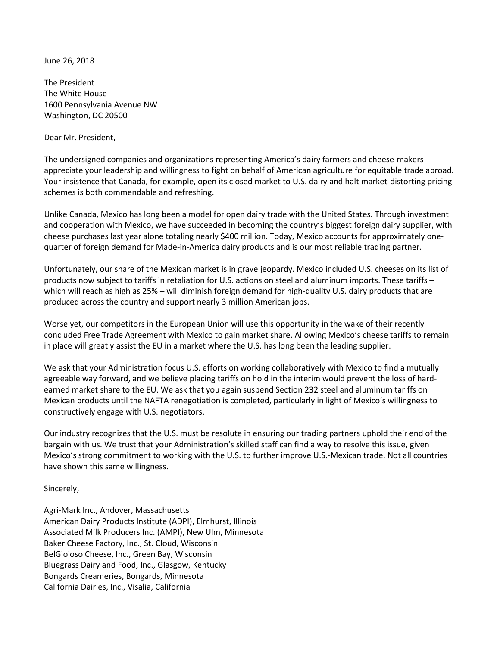June 26, 2018

The President The White House 1600 Pennsylvania Avenue NW Washington, DC 20500

Dear Mr. President,

The undersigned companies and organizations representing America's dairy farmers and cheese-makers appreciate your leadership and willingness to fight on behalf of American agriculture for equitable trade abroad. Your insistence that Canada, for example, open its closed market to U.S. dairy and halt market-distorting pricing schemes is both commendable and refreshing.

Unlike Canada, Mexico has long been a model for open dairy trade with the United States. Through investment and cooperation with Mexico, we have succeeded in becoming the country's biggest foreign dairy supplier, with cheese purchases last year alone totaling nearly \$400 million. Today, Mexico accounts for approximately onequarter of foreign demand for Made-in-America dairy products and is our most reliable trading partner.

Unfortunately, our share of the Mexican market is in grave jeopardy. Mexico included U.S. cheeses on its list of products now subject to tariffs in retaliation for U.S. actions on steel and aluminum imports. These tariffs – which will reach as high as 25% – will diminish foreign demand for high-quality U.S. dairy products that are produced across the country and support nearly 3 million American jobs.

Worse yet, our competitors in the European Union will use this opportunity in the wake of their recently concluded Free Trade Agreement with Mexico to gain market share. Allowing Mexico's cheese tariffs to remain in place will greatly assist the EU in a market where the U.S. has long been the leading supplier.

We ask that your Administration focus U.S. efforts on working collaboratively with Mexico to find a mutually agreeable way forward, and we believe placing tariffs on hold in the interim would prevent the loss of hardearned market share to the EU. We ask that you again suspend Section 232 steel and aluminum tariffs on Mexican products until the NAFTA renegotiation is completed, particularly in light of Mexico's willingness to constructively engage with U.S. negotiators.

Our industry recognizes that the U.S. must be resolute in ensuring our trading partners uphold their end of the bargain with us. We trust that your Administration's skilled staff can find a way to resolve this issue, given Mexico's strong commitment to working with the U.S. to further improve U.S.-Mexican trade. Not all countries have shown this same willingness.

Sincerely,

Agri-Mark Inc., Andover, Massachusetts American Dairy Products Institute (ADPI), Elmhurst, Illinois Associated Milk Producers Inc. (AMPI), New Ulm, Minnesota Baker Cheese Factory, Inc., St. Cloud, Wisconsin BelGioioso Cheese, Inc., Green Bay, Wisconsin Bluegrass Dairy and Food, Inc., Glasgow, Kentucky Bongards Creameries, Bongards, Minnesota California Dairies, Inc., Visalia, California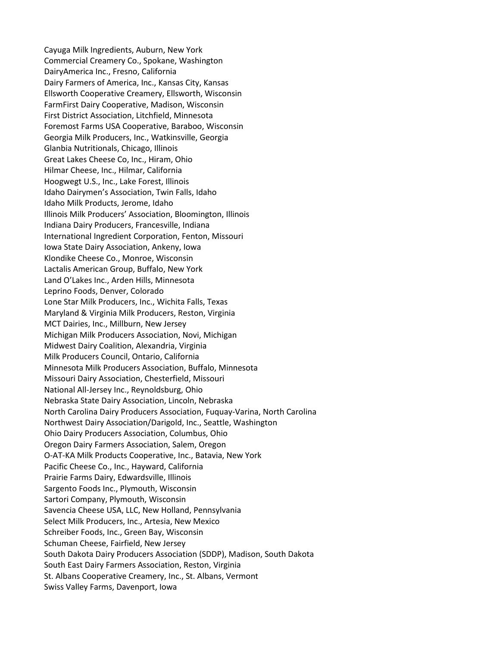Cayuga Milk Ingredients, Auburn, New York Commercial Creamery Co., Spokane, Washington DairyAmerica Inc., Fresno, California Dairy Farmers of America, Inc., Kansas City, Kansas Ellsworth Cooperative Creamery, Ellsworth, Wisconsin FarmFirst Dairy Cooperative, Madison, Wisconsin First District Association, Litchfield, Minnesota Foremost Farms USA Cooperative, Baraboo, Wisconsin Georgia Milk Producers, Inc., Watkinsville, Georgia Glanbia Nutritionals, Chicago, Illinois Great Lakes Cheese Co, Inc., Hiram, Ohio Hilmar Cheese, Inc., Hilmar, California Hoogwegt U.S., Inc., Lake Forest, Illinois Idaho Dairymen's Association, Twin Falls, Idaho Idaho Milk Products, Jerome, Idaho Illinois Milk Producers' Association, Bloomington, Illinois Indiana Dairy Producers, Francesville, Indiana International Ingredient Corporation, Fenton, Missouri Iowa State Dairy Association, Ankeny, Iowa Klondike Cheese Co., Monroe, Wisconsin Lactalis American Group, Buffalo, New York Land O'Lakes Inc., Arden Hills, Minnesota Leprino Foods, Denver, Colorado Lone Star Milk Producers, Inc., Wichita Falls, Texas Maryland & Virginia Milk Producers, Reston, Virginia MCT Dairies, Inc., Millburn, New Jersey Michigan Milk Producers Association, Novi, Michigan Midwest Dairy Coalition, Alexandria, Virginia Milk Producers Council, Ontario, California Minnesota Milk Producers Association, Buffalo, Minnesota Missouri Dairy Association, Chesterfield, Missouri National All-Jersey Inc., Reynoldsburg, Ohio Nebraska State Dairy Association, Lincoln, Nebraska North Carolina Dairy Producers Association, Fuquay-Varina, North Carolina Northwest Dairy Association/Darigold, Inc., Seattle, Washington Ohio Dairy Producers Association, Columbus, Ohio Oregon Dairy Farmers Association, Salem, Oregon O-AT-KA Milk Products Cooperative, Inc., Batavia, New York Pacific Cheese Co., Inc., Hayward, California Prairie Farms Dairy, Edwardsville, Illinois Sargento Foods Inc., Plymouth, Wisconsin Sartori Company, Plymouth, Wisconsin Savencia Cheese USA, LLC, New Holland, Pennsylvania Select Milk Producers, Inc., Artesia, New Mexico Schreiber Foods, Inc., Green Bay, Wisconsin Schuman Cheese, Fairfield, New Jersey South Dakota Dairy Producers Association (SDDP), Madison, South Dakota South East Dairy Farmers Association, Reston, Virginia St. Albans Cooperative Creamery, Inc., St. Albans, Vermont Swiss Valley Farms, Davenport, Iowa